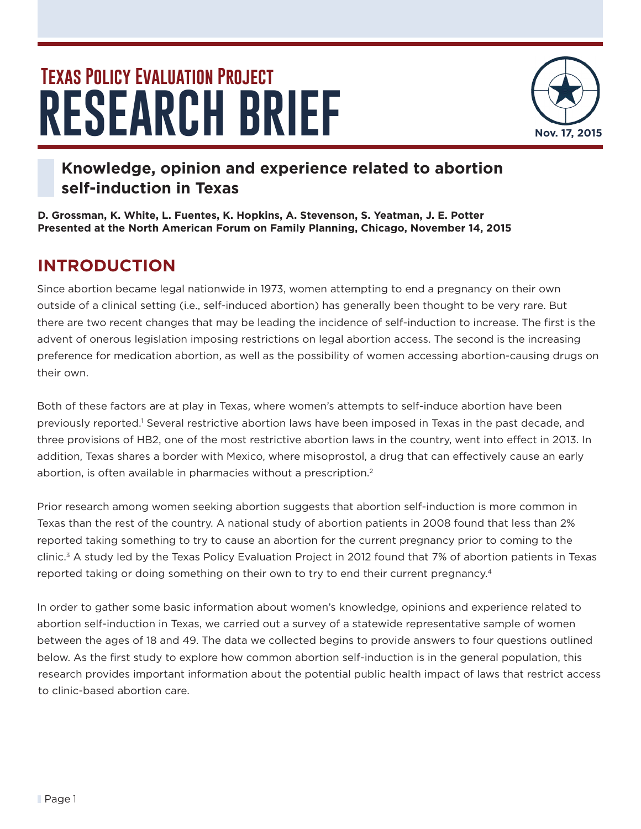# **RESEARCH BRIEF Texas Policy Evaluation Project**



# **Knowledge, opinion and experience related to abortion self-induction in Texas**

**D. Grossman, K. White, L. Fuentes, K. Hopkins, A. Stevenson, S. Yeatman, J. E. Potter Presented at the North American Forum on Family Planning, Chicago, November 14, 2015**

# **INTRODUCTION**

Since abortion became legal nationwide in 1973, women attempting to end a pregnancy on their own outside of a clinical setting (i.e., self-induced abortion) has generally been thought to be very rare. But there are two recent changes that may be leading the incidence of self-induction to increase. The first is the advent of onerous legislation imposing restrictions on legal abortion access. The second is the increasing preference for medication abortion, as well as the possibility of women accessing abortion-causing drugs on their own.

Both of these factors are at play in Texas, where women's attempts to self-induce abortion have been previously reported.<sup>1</sup> Several restrictive abortion laws have been imposed in Texas in the past decade, and three provisions of HB2, one of the most restrictive abortion laws in the country, went into effect in 2013. In addition, Texas shares a border with Mexico, where misoprostol, a drug that can effectively cause an early abortion, is often available in pharmacies without a prescription.<sup>2</sup>

Prior research among women seeking abortion suggests that abortion self-induction is more common in Texas than the rest of the country. A national study of abortion patients in 2008 found that less than 2% reported taking something to try to cause an abortion for the current pregnancy prior to coming to the clinic.3 A study led by the Texas Policy Evaluation Project in 2012 found that 7% of abortion patients in Texas reported taking or doing something on their own to try to end their current pregnancy.<sup>4</sup>

In order to gather some basic information about women's knowledge, opinions and experience related to abortion self-induction in Texas, we carried out a survey of a statewide representative sample of women between the ages of 18 and 49. The data we collected begins to provide answers to four questions outlined below. As the first study to explore how common abortion self-induction is in the general population, this research provides important information about the potential public health impact of laws that restrict access to clinic-based abortion care.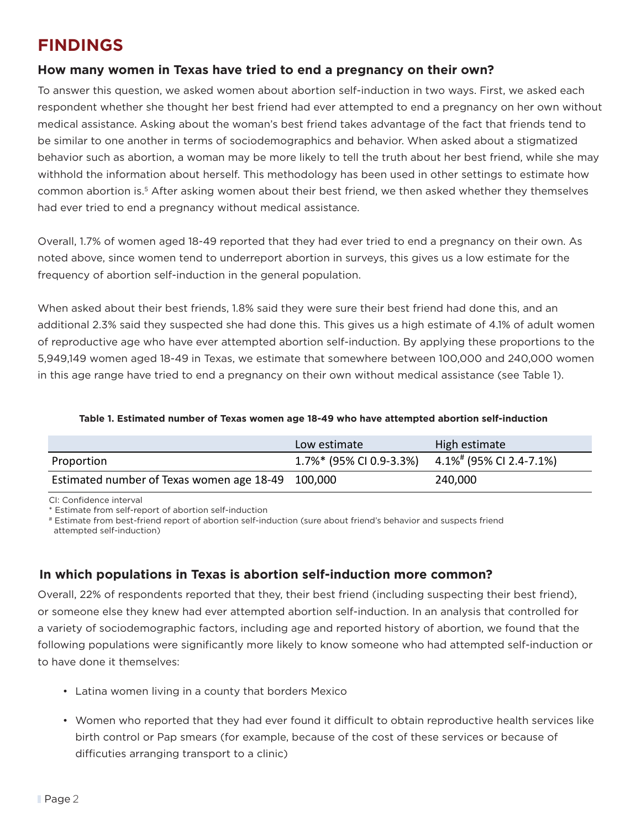# **FINDINGS**

#### **How many women in Texas have tried to end a pregnancy on their own?**

To answer this question, we asked women about abortion self-induction in two ways. First, we asked each respondent whether she thought her best friend had ever attempted to end a pregnancy on her own without medical assistance. Asking about the woman's best friend takes advantage of the fact that friends tend to be similar to one another in terms of sociodemographics and behavior. When asked about a stigmatized behavior such as abortion, a woman may be more likely to tell the truth about her best friend, while she may withhold the information about herself. This methodology has been used in other settings to estimate how common abortion is.5 After asking women about their best friend, we then asked whether they themselves had ever tried to end a pregnancy without medical assistance.

Overall, 1.7% of women aged 18-49 reported that they had ever tried to end a pregnancy on their own. As noted above, since women tend to underreport abortion in surveys, this gives us a low estimate for the frequency of abortion self-induction in the general population.

When asked about their best friends, 1.8% said they were sure their best friend had done this, and an additional 2.3% said they suspected she had done this. This gives us a high estimate of 4.1% of adult women of reproductive age who have ever attempted abortion self-induction. By applying these proportions to the 5,949,149 women aged 18-49 in Texas, we estimate that somewhere between 100,000 and 240,000 women in this age range have tried to end a pregnancy on their own without medical assistance (see Table 1).

#### **Table 1. Estimated number of Texas women age 18-49 who have attempted abortion self-induction**

|                                                   | Low estimate                                                | High estimate |
|---------------------------------------------------|-------------------------------------------------------------|---------------|
| Proportion                                        | 1.7%* (95% CI 0.9-3.3%) 4.1% <sup>#</sup> (95% CI 2.4-7.1%) |               |
| Estimated number of Texas women age 18-49 100,000 |                                                             | 240,000       |

CI: Confidence interval

\* Estimate from self-report of abortion self-induction

# Estimate from best-friend report of abortion self-induction (sure about friend's behavior and suspects friend attempted self-induction)

#### **In which populations in Texas is abortion self-induction more common?**

Overall, 22% of respondents reported that they, their best friend (including suspecting their best friend), or someone else they knew had ever attempted abortion self-induction. In an analysis that controlled for a variety of sociodemographic factors, including age and reported history of abortion, we found that the following populations were significantly more likely to know someone who had attempted self-induction or to have done it themselves:

- Latina women living in a county that borders Mexico
- Women who reported that they had ever found it difficult to obtain reproductive health services like birth control or Pap smears (for example, because of the cost of these services or because of difficuties arranging transport to a clinic)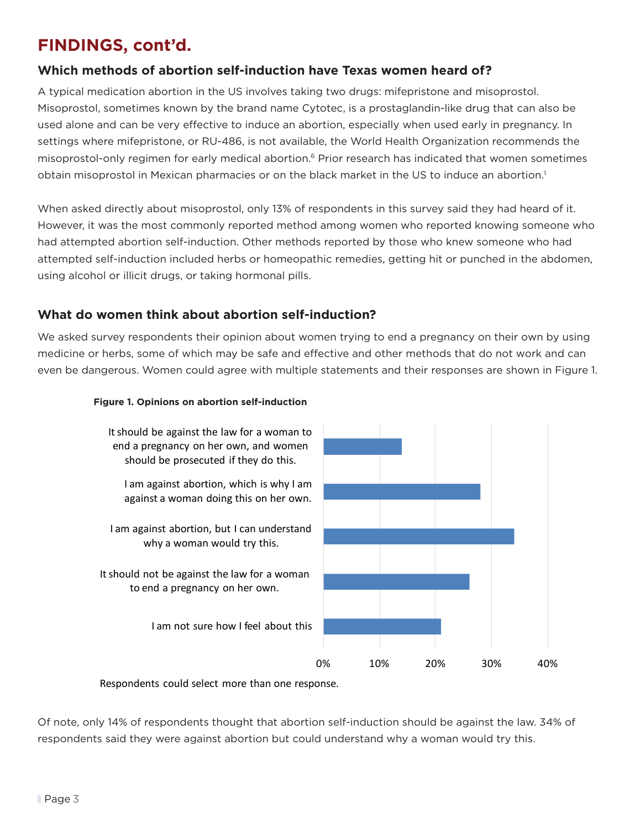# **FINDINGS, cont'd.**

### **Which methods of abortion self-induction have Texas women heard of?**

A typical medication abortion in the US involves taking two drugs: mifepristone and misoprostol. Misoprostol, sometimes known by the brand name Cytotec, is a prostaglandin-like drug that can also be used alone and can be very effective to induce an abortion, especially when used early in pregnancy. In settings where mifepristone, or RU-486, is not available, the World Health Organization recommends the misoprostol-only regimen for early medical abortion.<sup>6</sup> Prior research has indicated that women sometimes obtain misoprostol in Mexican pharmacies or on the black market in the US to induce an abortion.<sup>1</sup>

When asked directly about misoprostol, only 13% of respondents in this survey said they had heard of it. However, it was the most commonly reported method among women who reported knowing someone who had attempted abortion self-induction. Other methods reported by those who knew someone who had attempted self-induction included herbs or homeopathic remedies, getting hit or punched in the abdomen, using alcohol or illicit drugs, or taking hormonal pills.

### **What do women think about abortion self-induction?**

We asked survey respondents their opinion about women trying to end a pregnancy on their own by using medicine or herbs, some of which may be safe and effective and other methods that do not work and can even be dangerous. Women could agree with multiple statements and their responses are shown in Figure 1.

#### **Figure 1. Opinions on abortion self-induction**



Respondents could select more than one response.

Of note, only 14% of respondents thought that abortion self-induction should be against the law. 34% of respondents said they were against abortion but could understand why a woman would try this.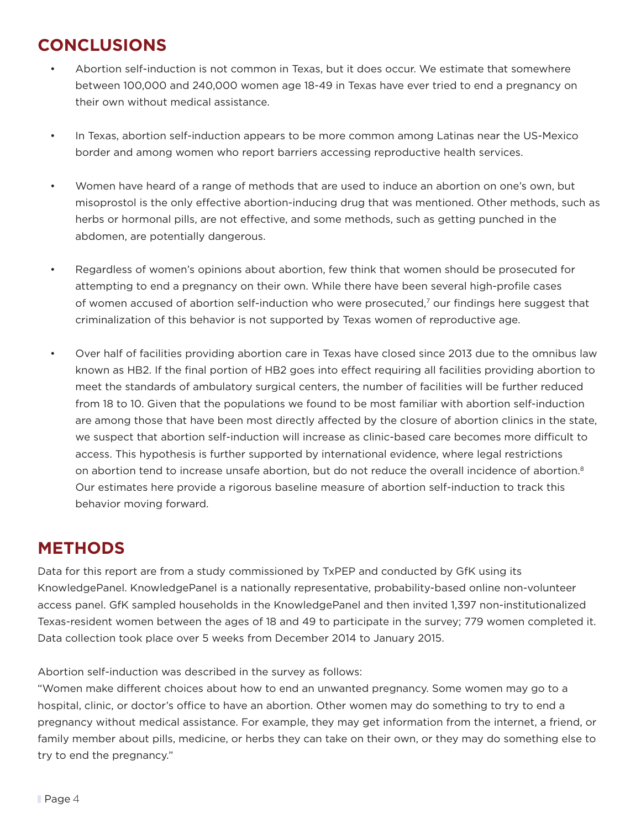# **CONCLUSIONS**

- Abortion self-induction is not common in Texas, but it does occur. We estimate that somewhere between 100,000 and 240,000 women age 18-49 in Texas have ever tried to end a pregnancy on their own without medical assistance.
- In Texas, abortion self-induction appears to be more common among Latinas near the US-Mexico border and among women who report barriers accessing reproductive health services.
- Women have heard of a range of methods that are used to induce an abortion on one's own, but misoprostol is the only effective abortion-inducing drug that was mentioned. Other methods, such as herbs or hormonal pills, are not effective, and some methods, such as getting punched in the abdomen, are potentially dangerous.
- Regardless of women's opinions about abortion, few think that women should be prosecuted for attempting to end a pregnancy on their own. While there have been several high-profile cases of women accused of abortion self-induction who were prosecuted,7 our findings here suggest that criminalization of this behavior is not supported by Texas women of reproductive age.
- Over half of facilities providing abortion care in Texas have closed since 2013 due to the omnibus law known as HB2. If the final portion of HB2 goes into effect requiring all facilities providing abortion to meet the standards of ambulatory surgical centers, the number of facilities will be further reduced from 18 to 10. Given that the populations we found to be most familiar with abortion self-induction are among those that have been most directly affected by the closure of abortion clinics in the state, we suspect that abortion self-induction will increase as clinic-based care becomes more difficult to access. This hypothesis is further supported by international evidence, where legal restrictions on abortion tend to increase unsafe abortion, but do not reduce the overall incidence of abortion.<sup>8</sup> Our estimates here provide a rigorous baseline measure of abortion self-induction to track this behavior moving forward.

# **METHODS**

Data for this report are from a study commissioned by TxPEP and conducted by GfK using its KnowledgePanel. KnowledgePanel is a nationally representative, probability-based online non-volunteer access panel. GfK sampled households in the KnowledgePanel and then invited 1,397 non-institutionalized Texas-resident women between the ages of 18 and 49 to participate in the survey; 779 women completed it. Data collection took place over 5 weeks from December 2014 to January 2015.

Abortion self-induction was described in the survey as follows:

"Women make different choices about how to end an unwanted pregnancy. Some women may go to a hospital, clinic, or doctor's office to have an abortion. Other women may do something to try to end a pregnancy without medical assistance. For example, they may get information from the internet, a friend, or family member about pills, medicine, or herbs they can take on their own, or they may do something else to try to end the pregnancy."